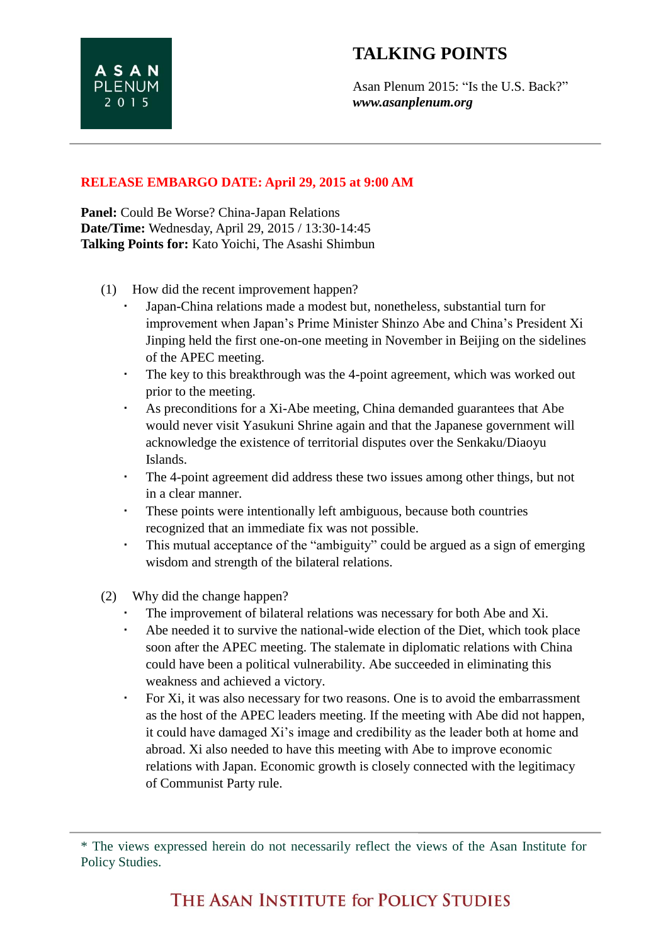Asan Plenum 2015: "Is the U.S. Back?" *www.asanplenum.org*

**Panel:** Could Be Worse? China-Japan Relations **Date/Time:** Wednesday, April 29, 2015 / 13:30-14:45 **Talking Points for:** Kato Yoichi, The Asashi Shimbun

**ASAN PLENUM**  $2015$ 

- (1) How did the recent improvement happen?
	- Japan-China relations made a modest but, nonetheless, substantial turn for improvement when Japan's Prime Minister Shinzo Abe and China's President Xi Jinping held the first one-on-one meeting in November in Beijing on the sidelines of the APEC meeting.
	- The key to this breakthrough was the 4-point agreement, which was worked out prior to the meeting.
	- As preconditions for a Xi-Abe meeting, China demanded guarantees that Abe would never visit Yasukuni Shrine again and that the Japanese government will acknowledge the existence of territorial disputes over the Senkaku/Diaoyu Islands.
	- The 4-point agreement did address these two issues among other things, but not in a clear manner.
	- These points were intentionally left ambiguous, because both countries recognized that an immediate fix was not possible.
	- This mutual acceptance of the "ambiguity" could be argued as a sign of emerging wisdom and strength of the bilateral relations.
- (2) Why did the change happen?
	- The improvement of bilateral relations was necessary for both Abe and Xi.
	- Abe needed it to survive the national-wide election of the Diet, which took place soon after the APEC meeting. The stalemate in diplomatic relations with China could have been a political vulnerability. Abe succeeded in eliminating this weakness and achieved a victory.
	- For Xi, it was also necessary for two reasons. One is to avoid the embarrassment as the host of the APEC leaders meeting. If the meeting with Abe did not happen, it could have damaged Xi's image and credibility as the leader both at home and abroad. Xi also needed to have this meeting with Abe to improve economic relations with Japan. Economic growth is closely connected with the legitimacy of Communist Party rule.

<sup>\*</sup> The views expressed herein do not necessarily reflect the views of the Asan Institute for Policy Studies.